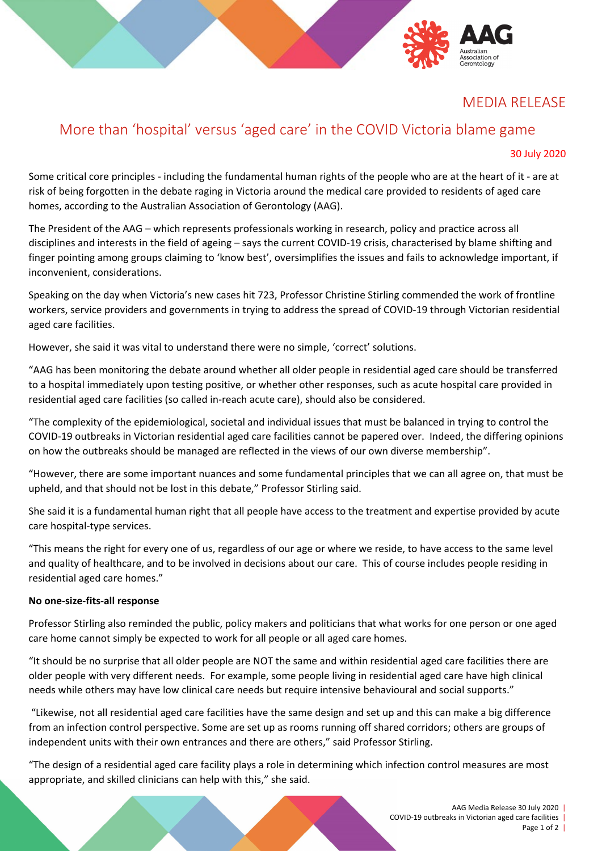## MEDIA RELEASE

# More than 'hospital' versus 'aged care' in the COVID Victoria blame game

#### 30 July 2020

Some critical core principles - including the fundamental human rights of the people who are at the heart of it - are at risk of being forgotten in the debate raging in Victoria around the medical care provided to residents of aged care homes, according to the Australian Association of Gerontology (AAG).

The President of the AAG – which represents professionals working in research, policy and practice across all disciplines and interests in the field of ageing – says the current COVID-19 crisis, characterised by blame shifting and finger pointing among groups claiming to 'know best', oversimplifies the issues and fails to acknowledge important, if inconvenient, considerations.

Speaking on the day when Victoria's new cases hit 723, Professor Christine Stirling commended the work of frontline workers, service providers and governments in trying to address the spread of COVID-19 through Victorian residential aged care facilities.

However, she said it was vital to understand there were no simple, 'correct' solutions.

"AAG has been monitoring the debate around whether all older people in residential aged care should be transferred to a hospital immediately upon testing positive, or whether other responses, such as acute hospital care provided in residential aged care facilities (so called in-reach acute care), should also be considered.

"The complexity of the epidemiological, societal and individual issues that must be balanced in trying to control the COVID-19 outbreaks in Victorian residential aged care facilities cannot be papered over. Indeed, the differing opinions on how the outbreaks should be managed are reflected in the views of our own diverse membership".

"However, there are some important nuances and some fundamental principles that we can all agree on, that must be upheld, and that should not be lost in this debate," Professor Stirling said.

She said it is a fundamental human right that all people have access to the treatment and expertise provided by acute care hospital-type services.

"This means the right for every one of us, regardless of our age or where we reside, to have access to the same level and quality of healthcare, and to be involved in decisions about our care. This of course includes people residing in residential aged care homes."

#### **No one-size-fits-all response**

Professor Stirling also reminded the public, policy makers and politicians that what works for one person or one aged care home cannot simply be expected to work for all people or all aged care homes.

"It should be no surprise that all older people are NOT the same and within residential aged care facilities there are older people with very different needs. For example, some people living in residential aged care have high clinical needs while others may have low clinical care needs but require intensive behavioural and social supports."

"Likewise, not all residential aged care facilities have the same design and set up and this can make a big difference from an infection control perspective. Some are set up as rooms running off shared corridors; others are groups of independent units with their own entrances and there are others," said Professor Stirling.

"The design of a residential aged care facility plays a role in determining which infection control measures are most appropriate, and skilled clinicians can help with this," she said.